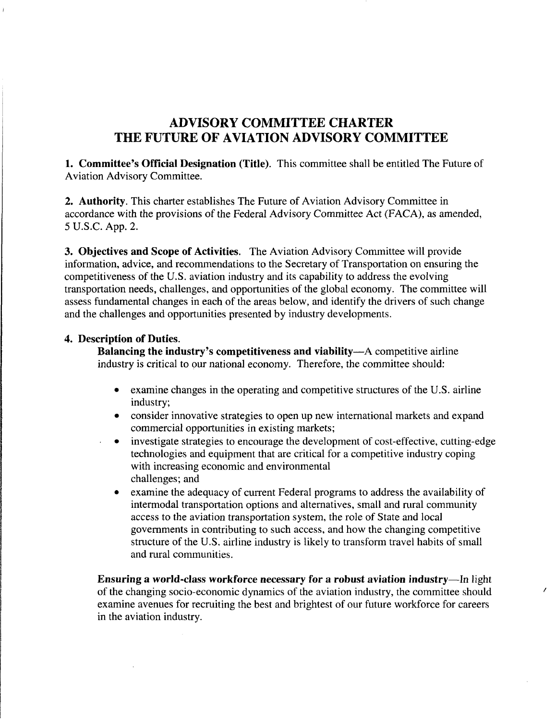## ADVISORY COMMITTEE CHARTER THE FUTURE OF AVIATION ADVISORY COMMITTEE

1. Committee's Official Designation (Title). This committee shall be entitled The Future of Aviation Advisory Committee.

2. Authority. This charter establishes The Future of Aviation Advisory Committee in accordance with the provisions of the Federal Advisory Committee Act (FACA), as amended, 5 U.S.C. App. 2.

3. Objectives and Scope of Activities. The Aviation Advisory Committee will provide information, advice, and recommendations to the Secretary of Transportation on ensuring the competitiveness of the U.S. aviation industry and its capability to address the evolving transportation needs, challenges, and opportunities of the global economy. The committee will assess fundamental changes in each of the areas below, and identify the drivers of such change and the challenges and opportunities presented by industry developments.

## 4. Description of Duties.

Balancing the industry's competitiveness and viability—A competitive airline industry is critical to our national economy. Therefore, the committee should:

- examine changes in the operating and competitive structures of the U.S. airline industry;
- consider innovative strategies to open up new international markets and expand commercial opportunities in existing markets;
- investigate strategies to encourage the development of cost-effective, cutting-edge technologies and equipment that are critical for a competitive industry coping with increasing economic and environmental challenges; and
	- examine the adequacy of current Federal programs to address the availability of intermodal transportation options and alternatives, small and rural community access to the aviation transportation system, the role of State and local governments in contributing to such access, and how the changing competitive structure of the U.S. airline industry is likely to transform travel habits of small and mral communities.

Ensuring a world-class workforce necessary for a robust aviation industry—In light of the changing socio-economic dynamics of the aviation industry, the committee should examine avenues for recruiting the best and brightest of our future workforce for careers in the aviation industry.

 $\lambda$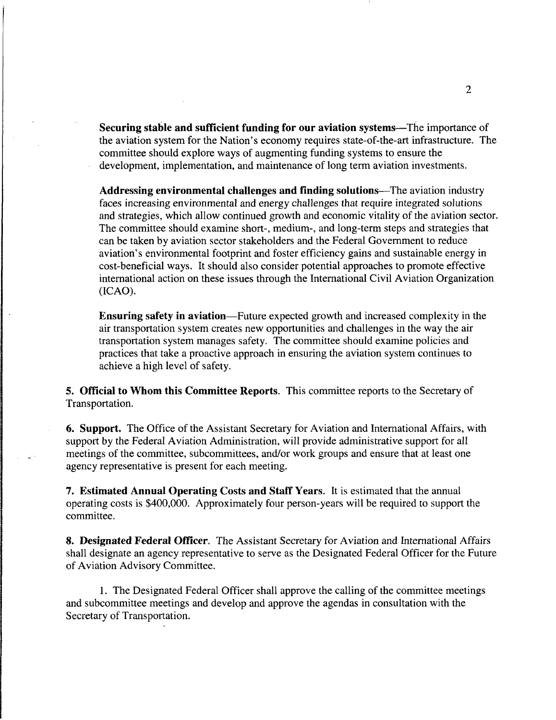Securing stable and sufficient funding for our aviation systems—The importance of the aviation system for the Nation's economy requires state-of-the-art infrastructure. The committee should explore ways of augmenting funding systems to ensure the development, implementation, and maintenance of long term aviation investments.

Addressing environmental challenges and finding solutions—The aviation industry faces increasing environmental and energy challenges that require integrated solutions and strategies, which allow continued growth and economic vitality of the aviation sector. The committee should examine short-, medium-, and long-term steps and strategies that can be taken by aviation sector stakeholders and the Federal Government to reduce aviation's environmental footprint and foster efficiency gains and sustainable energy in cost-beneficial ways. It should also consider potential approaches to promote effective international action on these issues through the International Civil Aviation Organization (ICAO).

Ensuring safety in aviation—Future expected growth and increased complexity in the air transportation system creates new opportunities and challenges in the way the air transportation system manages safety. The committee should examine policies and practices that take a proactive approach in ensuring the aviation system continues to achieve a high level of safety.

5. Official to Whom this Committee Reports. This committee reports to the Secretary of Transportation.

6. Support. The Office of the Assistant Secretary for Aviation and International Affairs, with support by the Federal Aviation Administration, will provide administrative support for all meetings of the committee, subcommittees, and/or work groups and ensure that at least one agency representative is present for each meeting.

7. Estimated Annual Operating Costs and Staff Years. It is estimated that the annual operating costs is \$400,000. Approximately four person-years will be required to support the committee.

8. Designated Federal Officer. The Assistant Secretary for Aviation and International Affairs shall designate an agency representative to serve as the Designated Federal Officer for the Future of Aviation Advisory Committee.

1. The Designated Federal Officer shall approve the calling of the committee meetings and subcommittee meetings and develop and approve the agendas in consultation with the Secretary of Transportation.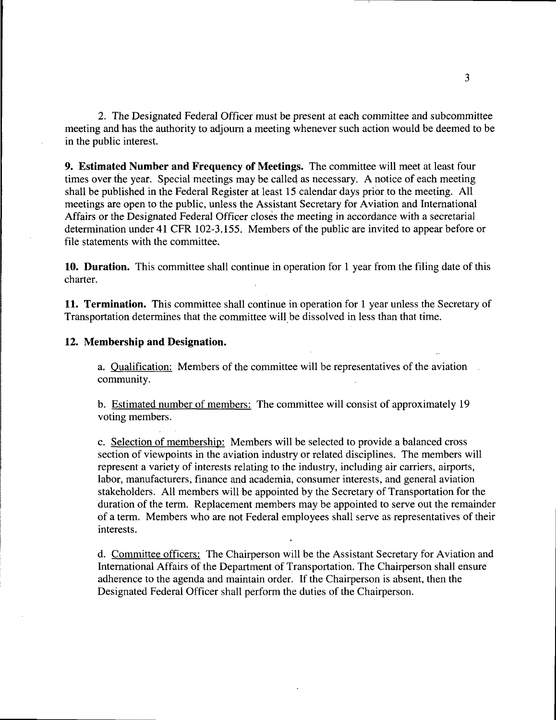2. The Designated Federal Officer must be present at each committee and subcommittee meeting and has the authority to adjourn a meeting whenever such action would be deemed to be in the public interest.

9. Estimated Number and Frequency of Meetings. The committee will meet at least four times over the year. Special meetings may be called as necessary. A notice of each meeting shall be published in the Federal Register at least 15 calendar days prior to the meeting. All meetings are open to the public, unless the Assistant Secretary for Aviation and International Affairs or the Designated Federal Officer closes the meeting in accordance with a secretarial determination under 41 CFR 102-3.155. Members of the public are invited to appear before or file statements with the committee.

10. Duration. This committee shall continue in operation for 1 year from the filing date of this charter.

11. Termination. This committee shall continue in operation for 1 year unless the Secretary of Transportation determines that the committee will be dissolved in less than that time.

## 12. Membership and Designation.

a. Oualification: Members of the committee will be representatives of the aviation community.

b. Estimated number of members: The committee will consist of approximately 19 voting members.

c. Selection of membership: Members will be selected to provide a balanced cross section of viewpoints in the aviation industry or related disciplines. The members will represent a variety of interests relating to the industry, including air carriers, airports, labor, manufacturers, finance and academia, consumer interests, and general aviation stakeholders. All members will be appointed by the Secretary of Transportation for the duration of the term. Replacement members may be appointed to serve out the remainder of a term. Members who are not Federal employees shall serve as representatives of their interests.

d. Committee officers: The Chairperson will be the Assistant Secretary for Aviation and International Affairs of the Department of Transportation. The Chairperson shall ensure adherence to the agenda and maintain order. If the Chairperson is absent, then the Designated Federal Officer shall perform the duties of the Chairperson.